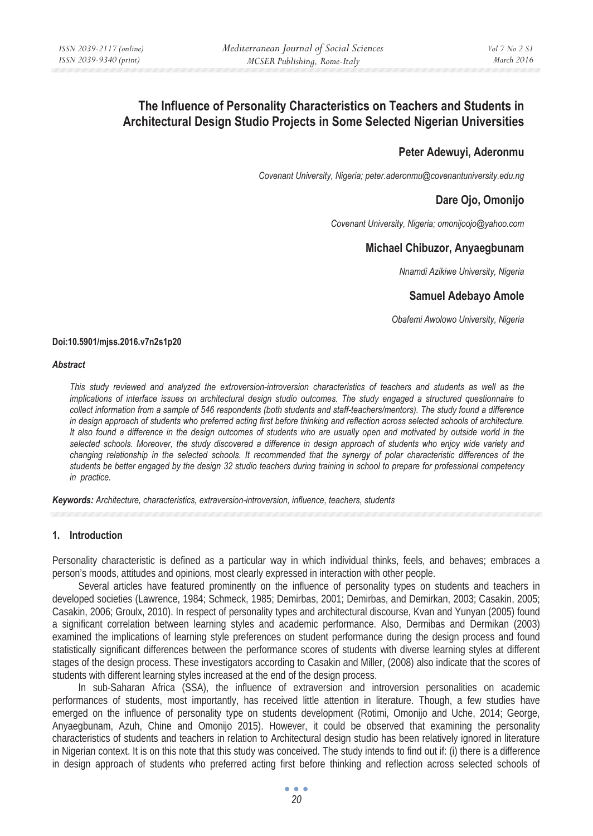# **The Influence of Personality Characteristics on Teachers and Students in Architectural Design Studio Projects in Some Selected Nigerian Universities**

# **Peter Adewuyi, Aderonmu**

*Covenant University, Nigeria; peter.aderonmu@covenantuniversity.edu.ng* 

# **Dare Ojo, Omonijo**

*Covenant University, Nigeria; omonijoojo@yahoo.com* 

# **Michael Chibuzor, Anyaegbunam**

*Nnamdi Azikiwe University, Nigeria* 

# **Samuel Adebayo Amole**

*Obafemi Awolowo University, Nigeria* 

#### **Doi:10.5901/mjss.2016.v7n2s1p20**

#### *Abstract*

*This study reviewed and analyzed the extroversion-introversion characteristics of teachers and students as well as the implications of interface issues on architectural design studio outcomes. The study engaged a structured questionnaire to collect information from a sample of 546 respondents (both students and staff-teachers/mentors). The study found a difference in design approach of students who preferred acting first before thinking and reflection across selected schools of architecture. It also found a difference in the design outcomes of students who are usually open and motivated by outside world in the selected schools. Moreover, the study discovered a difference in design approach of students who enjoy wide variety and changing relationship in the selected schools. It recommended that the synergy of polar characteristic differences of the students be better engaged by the design 32 studio teachers during training in school to prepare for professional competency in practice.* 

*Keywords: Architecture, characteristics, extraversion-introversion, influence, teachers, students*

#### **1. Introduction**

Personality characteristic is defined as a particular way in which individual thinks, feels, and behaves; embraces a person's moods, attitudes and opinions, most clearly expressed in interaction with other people.

Several articles have featured prominently on the influence of personality types on students and teachers in developed societies (Lawrence, 1984; Schmeck, 1985; Demirbas, 2001; Demirbas, and Demirkan, 2003; Casakin, 2005; Casakin, 2006; Groulx, 2010). In respect of personality types and architectural discourse, Kvan and Yunyan (2005) found a significant correlation between learning styles and academic performance. Also, Dermibas and Dermikan (2003) examined the implications of learning style preferences on student performance during the design process and found statistically significant differences between the performance scores of students with diverse learning styles at different stages of the design process. These investigators according to Casakin and Miller, (2008) also indicate that the scores of students with different learning styles increased at the end of the design process.

In sub-Saharan Africa (SSA), the influence of extraversion and introversion personalities on academic performances of students, most importantly, has received little attention in literature. Though, a few studies have emerged on the influence of personality type on students development (Rotimi, Omonijo and Uche, 2014; George, Anyaegbunam, Azuh, Chine and Omonijo 2015). However, it could be observed that examining the personality characteristics of students and teachers in relation to Architectural design studio has been relatively ignored in literature in Nigerian context. It is on this note that this study was conceived. The study intends to find out if: (i) there is a difference in design approach of students who preferred acting first before thinking and reflection across selected schools of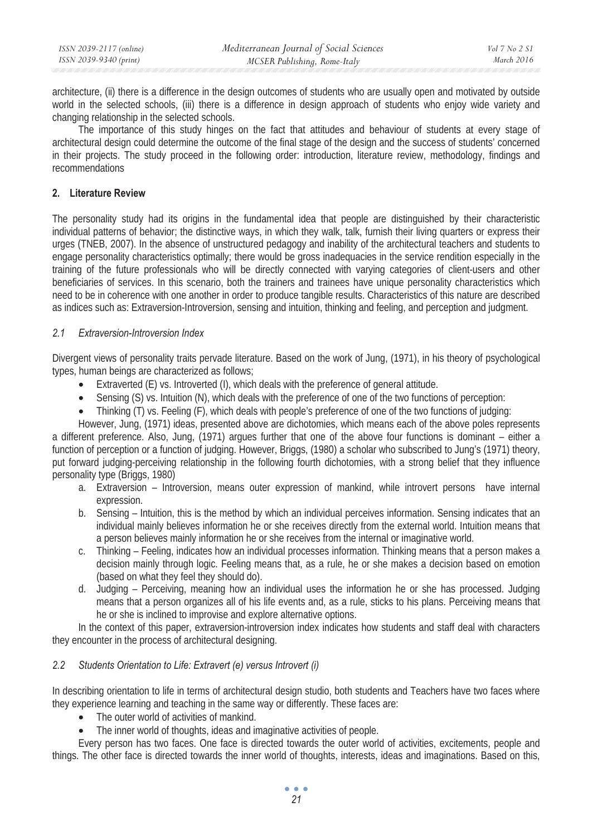| ISSN 2039-2117 (online) | Mediterranean Journal of Social Sciences | Vol 7 No 2 S1 |
|-------------------------|------------------------------------------|---------------|
| ISSN 2039-9340 (print)  | MCSER Publishing, Rome-Italy             | March 2016    |

architecture, (ii) there is a difference in the design outcomes of students who are usually open and motivated by outside world in the selected schools, (iii) there is a difference in design approach of students who enjoy wide variety and changing relationship in the selected schools.

The importance of this study hinges on the fact that attitudes and behaviour of students at every stage of architectural design could determine the outcome of the final stage of the design and the success of students' concerned in their projects. The study proceed in the following order: introduction, literature review, methodology, findings and recommendations

# **2. Literature Review**

The personality study had its origins in the fundamental idea that people are distinguished by their characteristic individual patterns of behavior; the distinctive ways, in which they walk, talk, furnish their living quarters or express their urges (TNEB, 2007). In the absence of unstructured pedagogy and inability of the architectural teachers and students to engage personality characteristics optimally; there would be gross inadequacies in the service rendition especially in the training of the future professionals who will be directly connected with varying categories of client-users and other beneficiaries of services. In this scenario, both the trainers and trainees have unique personality characteristics which need to be in coherence with one another in order to produce tangible results. Characteristics of this nature are described as indices such as: Extraversion-Introversion, sensing and intuition, thinking and feeling, and perception and judgment.

# *2.1 Extraversion-Introversion Index*

Divergent views of personality traits pervade literature. Based on the work of Jung, (1971), in his theory of psychological types, human beings are characterized as follows;

- Extraverted (E) vs. Introverted (I), which deals with the preference of general attitude.
- Sensing (S) vs. Intuition (N), which deals with the preference of one of the two functions of perception:
- Thinking (T) vs. Feeling (F), which deals with people's preference of one of the two functions of judging:

However, Jung, (1971) ideas, presented above are dichotomies, which means each of the above poles represents a different preference. Also, Jung, (1971) argues further that one of the above four functions is dominant – either a function of perception or a function of judging. However, Briggs, (1980) a scholar who subscribed to Jung's (1971) theory, put forward judging-perceiving relationship in the following fourth dichotomies, with a strong belief that they influence personality type (Briggs, 1980)

- a. Extraversion Introversion, means outer expression of mankind, while introvert persons have internal expression.
- b. Sensing Intuition, this is the method by which an individual perceives information. Sensing indicates that an individual mainly believes information he or she receives directly from the external world. Intuition means that a person believes mainly information he or she receives from the internal or imaginative world.
- c. Thinking Feeling, indicates how an individual processes information. Thinking means that a person makes a decision mainly through logic. Feeling means that, as a rule, he or she makes a decision based on emotion (based on what they feel they should do).
- d. Judging Perceiving, meaning how an individual uses the information he or she has processed. Judging means that a person organizes all of his life events and, as a rule, sticks to his plans. Perceiving means that he or she is inclined to improvise and explore alternative options.

In the context of this paper, extraversion-introversion index indicates how students and staff deal with characters they encounter in the process of architectural designing.

#### *2.2 Students Orientation to Life: Extravert (e) versus Introvert (i)*

In describing orientation to life in terms of architectural design studio, both students and Teachers have two faces where they experience learning and teaching in the same way or differently. These faces are:

- The outer world of activities of mankind.
- The inner world of thoughts, ideas and imaginative activities of people.

Every person has two faces. One face is directed towards the outer world of activities, excitements, people and things. The other face is directed towards the inner world of thoughts, interests, ideas and imaginations. Based on this,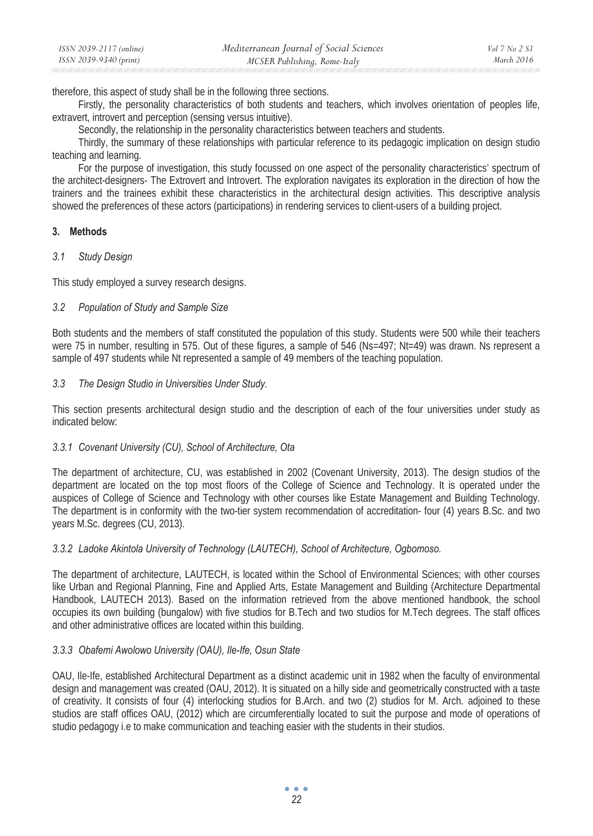therefore, this aspect of study shall be in the following three sections.

Firstly, the personality characteristics of both students and teachers, which involves orientation of peoples life, extravert, introvert and perception (sensing versus intuitive).

Secondly, the relationship in the personality characteristics between teachers and students.

Thirdly, the summary of these relationships with particular reference to its pedagogic implication on design studio teaching and learning.

For the purpose of investigation, this study focussed on one aspect of the personality characteristics' spectrum of the architect-designers- The Extrovert and Introvert. The exploration navigates its exploration in the direction of how the trainers and the trainees exhibit these characteristics in the architectural design activities. This descriptive analysis showed the preferences of these actors (participations) in rendering services to client-users of a building project.

#### **3. Methods**

# *3.1 Study Design*

This study employed a survey research designs.

# *3.2 Population of Study and Sample Size*

Both students and the members of staff constituted the population of this study. Students were 500 while their teachers were 75 in number, resulting in 575. Out of these figures, a sample of 546 (Ns=497; Nt=49) was drawn. Ns represent a sample of 497 students while Nt represented a sample of 49 members of the teaching population.

# *3.3 The Design Studio in Universities Under Study.*

This section presents architectural design studio and the description of each of the four universities under study as indicated below:

# *3.3.1 Covenant University (CU), School of Architecture, Ota*

The department of architecture, CU, was established in 2002 (Covenant University, 2013). The design studios of the department are located on the top most floors of the College of Science and Technology. It is operated under the auspices of College of Science and Technology with other courses like Estate Management and Building Technology. The department is in conformity with the two-tier system recommendation of accreditation- four (4) years B.Sc. and two years M.Sc. degrees (CU, 2013).

# *3.3.2 Ladoke Akintola University of Technology (LAUTECH), School of Architecture, Ogbomoso.*

The department of architecture, LAUTECH, is located within the School of Environmental Sciences; with other courses like Urban and Regional Planning, Fine and Applied Arts, Estate Management and Building (Architecture Departmental Handbook, LAUTECH 2013). Based on the information retrieved from the above mentioned handbook, the school occupies its own building (bungalow) with five studios for B.Tech and two studios for M.Tech degrees. The staff offices and other administrative offices are located within this building.

# *3.3.3 Obafemi Awolowo University (OAU), Ile-Ife, Osun State*

OAU, Ile-Ife, established Architectural Department as a distinct academic unit in 1982 when the faculty of environmental design and management was created (OAU, 2012). It is situated on a hilly side and geometrically constructed with a taste of creativity. It consists of four (4) interlocking studios for B.Arch. and two (2) studios for M. Arch. adjoined to these studios are staff offices OAU, (2012) which are circumferentially located to suit the purpose and mode of operations of studio pedagogy i.e to make communication and teaching easier with the students in their studios.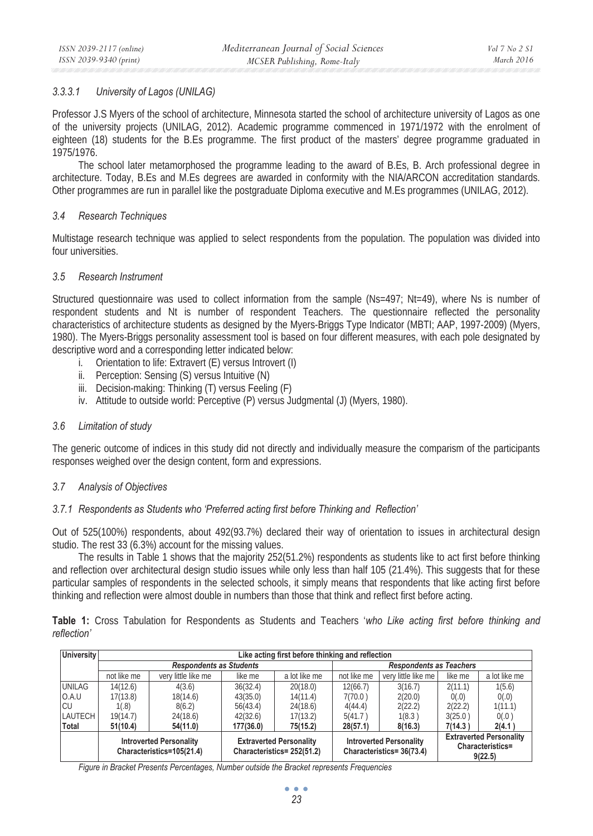# *3.3.3.1 University of Lagos (UNILAG)*

Professor J.S Myers of the school of architecture, Minnesota started the school of architecture university of Lagos as one of the university projects (UNILAG, 2012). Academic programme commenced in 1971/1972 with the enrolment of eighteen (18) students for the B.Es programme. The first product of the masters' degree programme graduated in 1975/1976.

The school later metamorphosed the programme leading to the award of B.Es, B. Arch professional degree in architecture. Today, B.Es and M.Es degrees are awarded in conformity with the NIA/ARCON accreditation standards. Other programmes are run in parallel like the postgraduate Diploma executive and M.Es programmes (UNILAG, 2012).

#### *3.4 Research Techniques*

Multistage research technique was applied to select respondents from the population. The population was divided into four universities.

#### *3.5 Research Instrument*

Structured questionnaire was used to collect information from the sample (Ns=497; Nt=49), where Ns is number of respondent students and Nt is number of respondent Teachers. The questionnaire reflected the personality characteristics of architecture students as designed by the Myers-Briggs Type Indicator (MBTI; AAP, 1997-2009) (Myers, 1980). The Myers-Briggs personality assessment tool is based on four different measures, with each pole designated by descriptive word and a corresponding letter indicated below:

- i. Orientation to life: Extravert (E) versus Introvert (I)
- ii. Perception: Sensing (S) versus Intuitive (N)
- iii. Decision-making: Thinking (T) versus Feeling (F)
- iv. Attitude to outside world: Perceptive (P) versus Judgmental (J) (Myers, 1980).

#### *3.6 Limitation of study*

The generic outcome of indices in this study did not directly and individually measure the comparism of the participants responses weighed over the design content, form and expressions.

#### *3.7 Analysis of Objectives*

#### *3.7.1 Respondents as Students who 'Preferred acting first before Thinking and Reflection'*

Out of 525(100%) respondents, about 492(93.7%) declared their way of orientation to issues in architectural design studio. The rest 33 (6.3%) account for the missing values.

The results in Table 1 shows that the majority 252(51.2%) respondents as students like to act first before thinking and reflection over architectural design studio issues while only less than half 105 (21.4%). This suggests that for these particular samples of respondents in the selected schools, it simply means that respondents that like acting first before thinking and reflection were almost double in numbers than those that think and reflect first before acting.

**Table 1:** Cross Tabulation for Respondents as Students and Teachers '*who Like acting first before thinking and reflection'* 

| University                                                  | Like acting first before thinking and reflection |                                                              |           |                                                             |             |                                                               |         |               |
|-------------------------------------------------------------|--------------------------------------------------|--------------------------------------------------------------|-----------|-------------------------------------------------------------|-------------|---------------------------------------------------------------|---------|---------------|
|                                                             | <b>Respondents as Students</b>                   |                                                              |           | <b>Respondents as Teachers</b>                              |             |                                                               |         |               |
|                                                             | not like me                                      | very little like me                                          | like me   | a lot like me                                               | not like me | very little like me                                           | like me | a lot like me |
| <b>UNILAG</b>                                               | 14(12.6)                                         | 4(3.6)                                                       | 36(32.4)  | 20(18.0)                                                    | 12(66.7)    | 3(16.7)                                                       | 2(11.1) | 1(5.6)        |
| 0.A.U                                                       | 17(13.8)                                         | 18(14.6)                                                     | 43(35.0)  | 14(11.4)                                                    | 7(70.0)     | 2(20.0)                                                       | 0(.0)   | 0(.0)         |
| ICU                                                         | 1(.8)                                            | 8(6.2)                                                       | 56(43.4)  | 24(18.6)                                                    | 4(44.4)     | 2(22.2)                                                       | 2(22.2) | 1(11.1)       |
| LAUTECH                                                     | 19(14.7)                                         | 24(18.6)                                                     | 42(32.6)  | 17(13.2)                                                    | 5(41.7)     | 1(8.3)                                                        | 3(25.0) | 0(.0)         |
| Total                                                       | 51(10.4)                                         | 54(11.0)                                                     | 177(36.0) | 75(15.2)                                                    | 28(57.1)    | 8(16.3)                                                       | 7(14.3) | 2(4.1)        |
| <b>Introverted Personality</b><br>Characteristics=105(21.4) |                                                  | <b>Extraverted Personality</b><br>Characteristics= 252(51.2) |           | <b>Introverted Personality</b><br>Characteristics= 36(73.4) |             | <b>Extraverted Personality</b><br>Characteristics=<br>9(22.5) |         |               |

*Figure in Bracket Presents Percentages, Number outside the Bracket represents Frequencies*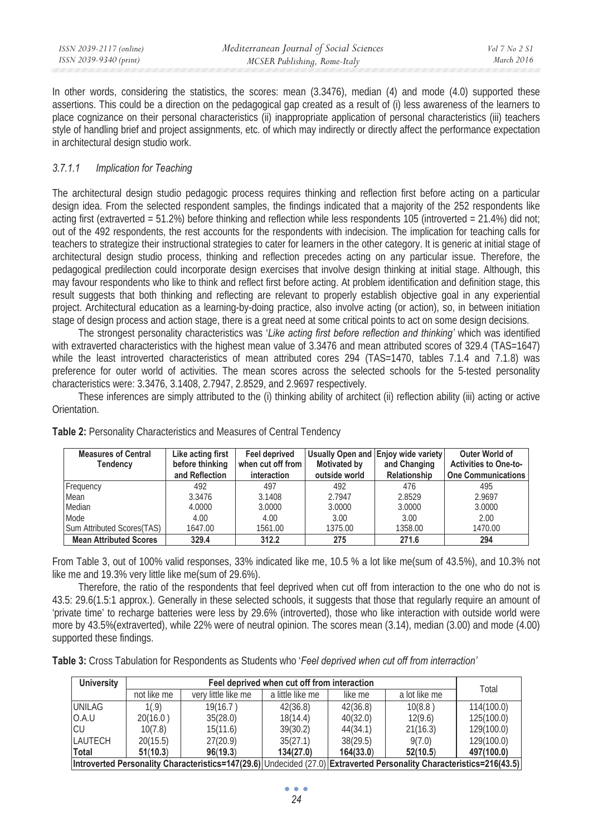| ISSN 2039-2117 (online) | Mediterranean Journal of Social Sciences | $Vol 7$ No 2 S1 |
|-------------------------|------------------------------------------|-----------------|
| ISSN 2039-9340 (print)  | MCSER Publishing, Rome-Italy             | March 2016      |

In other words, considering the statistics, the scores: mean  $(3.3476)$ , median  $(4)$  and mode  $(4.0)$  supported these assertions. This could be a direction on the pedagogical gap created as a result of (i) less awareness of the learners to place cognizance on their personal characteristics (ii) inappropriate application of personal characteristics (iii) teachers style of handling brief and project assignments, etc. of which may indirectly or directly affect the performance expectation in architectural design studio work.

#### *3.7.1.1 Implication for Teaching*

The architectural design studio pedagogic process requires thinking and reflection first before acting on a particular design idea. From the selected respondent samples, the findings indicated that a majority of the 252 respondents like acting first (extraverted =  $51.2\%$ ) before thinking and reflection while less respondents 105 (introverted =  $21.4\%$ ) did not; out of the 492 respondents, the rest accounts for the respondents with indecision. The implication for teaching calls for teachers to strategize their instructional strategies to cater for learners in the other category. It is generic at initial stage of architectural design studio process, thinking and reflection precedes acting on any particular issue. Therefore, the pedagogical predilection could incorporate design exercises that involve design thinking at initial stage. Although, this may favour respondents who like to think and reflect first before acting. At problem identification and definition stage, this result suggests that both thinking and reflecting are relevant to properly establish objective goal in any experiential project. Architectural education as a learning-by-doing practice, also involve acting (or action), so, in between initiation stage of design process and action stage, there is a great need at some critical points to act on some design decisions.

The strongest personality characteristics was '*Like acting first before reflection and thinking'* which was identified with extraverted characteristics with the highest mean value of 3.3476 and mean attributed scores of 329.4 (TAS=1647) while the least introverted characteristics of mean attributed cores 294 (TAS=1470, tables 7.1.4 and 7.1.8) was preference for outer world of activities. The mean scores across the selected schools for the 5-tested personality characteristics were: 3.3476, 3.1408, 2.7947, 2.8529, and 2.9697 respectively.

These inferences are simply attributed to the (i) thinking ability of architect (ii) reflection ability (iii) acting or active Orientation.

| <b>Measures of Central</b><br><b>Tendency</b> | Like acting first<br>before thinking<br>and Reflection | Feel deprived<br>when cut off from<br>interaction | Motivated by<br>outside world | Usually Open and Enjoy wide variety<br>and Changing<br>Relationship | Outer World of<br><b>Activities to One-to-</b><br><b>One Communications</b> |
|-----------------------------------------------|--------------------------------------------------------|---------------------------------------------------|-------------------------------|---------------------------------------------------------------------|-----------------------------------------------------------------------------|
| Frequency                                     | 492                                                    | 497                                               | 492                           | 476                                                                 | 495                                                                         |
| Mean                                          | 3.3476                                                 | 3.1408                                            | 2.7947                        | 2.8529                                                              | 2.9697                                                                      |
| Median                                        | 4.0000                                                 | 3.0000                                            | 3.0000                        | 3.0000                                                              | 3.0000                                                                      |
| Mode                                          | 4.00                                                   | 4.00                                              | 3.00                          | 3.00                                                                | 2.00                                                                        |
| Sum Attributed Scores(TAS)                    | 1647.00                                                | 1561.00                                           | 1375.00                       | 1358.00                                                             | 1470.00                                                                     |
| <b>Mean Attributed Scores</b>                 | 329.4                                                  | 312.2                                             | 275                           | 271.6                                                               | 294                                                                         |

**Table 2:** Personality Characteristics and Measures of Central Tendency

From Table 3, out of 100% valid responses, 33% indicated like me, 10.5 % a lot like me(sum of 43.5%), and 10.3% not like me and 19.3% very little like me(sum of 29.6%).

Therefore, the ratio of the respondents that feel deprived when cut off from interaction to the one who do not is 43.5: 29.6(1.5:1 approx.). Generally in these selected schools, it suggests that those that regularly require an amount of 'private time' to recharge batteries were less by 29.6% (introverted), those who like interaction with outside world were more by 43.5%(extraverted), while 22% were of neutral opinion. The scores mean (3.14), median (3.00) and mode (4.00) supported these findings.

| Table 3: Cross Tabulation for Respondents as Students who 'Feel deprived when cut off from interraction' |  |  |  |
|----------------------------------------------------------------------------------------------------------|--|--|--|
|----------------------------------------------------------------------------------------------------------|--|--|--|

| <b>University</b>                                                                                                    | Feel deprived when cut off from interaction |                     |                  |           |               | Total      |
|----------------------------------------------------------------------------------------------------------------------|---------------------------------------------|---------------------|------------------|-----------|---------------|------------|
|                                                                                                                      | not like me                                 | very little like me | a little like me | like me   | a lot like me |            |
| <b>UNILAG</b>                                                                                                        | 1(.9)                                       | 19(16.7)            | 42(36.8)         | 42(36.8)  | 10(8.8)       | 114(100.0) |
| O.A.U                                                                                                                | 20(16.0)                                    | 35(28.0)            | 18(14.4)         | 40(32.0)  | 12(9.6)       | 125(100.0) |
| ICU                                                                                                                  | 10(7.8)                                     | 15(11.6)            | 39(30.2)         | 44(34.1)  | 21(16.3)      | 129(100.0) |
| LAUTECH                                                                                                              | 20(15.5)                                    | 27(20.9)            | 35(27.1)         | 38(29.5)  | 9(7.0)        | 129(100.0) |
| Total                                                                                                                | 51(10.3)                                    | 96(19.3)            | 134(27.0)        | 164(33.0) | 52(10.5)      | 497(100.0) |
| Introverted Personality Characteristics=147(29.6) Undecided (27.0) Extraverted Personality Characteristics=216(43.5) |                                             |                     |                  |           |               |            |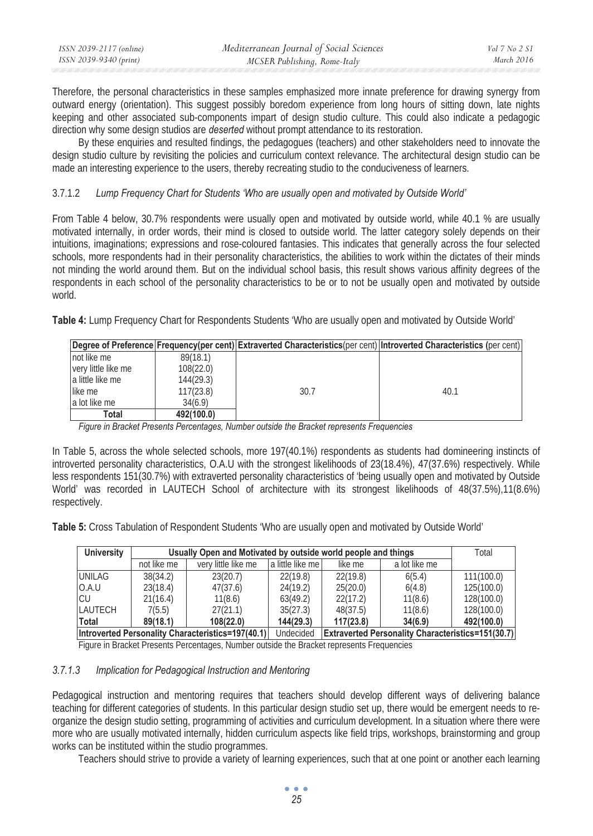| ISSN 2039-2117 (online) | Mediterranean Journal of Social Sciences | Vol 7 No 2 S1     |
|-------------------------|------------------------------------------|-------------------|
| ISSN 2039-9340 (print)  | MCSER Publishing, Rome-Italy             | <i>March 2016</i> |

Therefore, the personal characteristics in these samples emphasized more innate preference for drawing synergy from outward energy (orientation). This suggest possibly boredom experience from long hours of sitting down, late nights keeping and other associated sub-components impart of design studio culture. This could also indicate a pedagogic direction why some design studios are *deserted* without prompt attendance to its restoration.

By these enquiries and resulted findings, the pedagogues (teachers) and other stakeholders need to innovate the design studio culture by revisiting the policies and curriculum context relevance. The architectural design studio can be made an interesting experience to the users, thereby recreating studio to the conduciveness of learners.

# 3.7.1.2 *Lump Frequency Chart for Students 'Who are usually open and motivated by Outside World'*

From Table 4 below, 30.7% respondents were usually open and motivated by outside world, while 40.1 % are usually motivated internally, in order words, their mind is closed to outside world. The latter category solely depends on their intuitions, imaginations; expressions and rose-coloured fantasies. This indicates that generally across the four selected schools, more respondents had in their personality characteristics, the abilities to work within the dictates of their minds not minding the world around them. But on the individual school basis, this result shows various affinity degrees of the respondents in each school of the personality characteristics to be or to not be usually open and motivated by outside world.

**Table 4:** Lump Frequency Chart for Respondents Students 'Who are usually open and motivated by Outside World'

|                     |            |      | Degree of Preference Frequency(per cent) Extraverted Characteristics(per cent) Introverted Characteristics (per cent) |
|---------------------|------------|------|-----------------------------------------------------------------------------------------------------------------------|
| not like me         | 89(18.1)   |      |                                                                                                                       |
| very little like me | 108(22.0)  |      |                                                                                                                       |
| a little like me    | 144(29.3)  |      |                                                                                                                       |
| like me             | 117(23.8)  | 30.7 | 40.1                                                                                                                  |
| a lot like me       | 34(6.9)    |      |                                                                                                                       |
| Total               | 492(100.0) |      |                                                                                                                       |

*Figure in Bracket Presents Percentages, Number outside the Bracket represents Frequencies* 

In Table 5, across the whole selected schools, more 197(40.1%) respondents as students had domineering instincts of introverted personality characteristics, O.A.U with the strongest likelihoods of 23(18.4%), 47(37.6%) respectively. While less respondents 151(30.7%) with extraverted personality characteristics of 'being usually open and motivated by Outside World' was recorded in LAUTECH School of architecture with its strongest likelihoods of 48(37.5%),11(8.6%) respectively.

**Table 5:** Cross Tabulation of Respondent Students 'Who are usually open and motivated by Outside World'

| <b>University</b>                                 |             | Usually Open and Motivated by outside world people and things |                  |                                                          |               |            |
|---------------------------------------------------|-------------|---------------------------------------------------------------|------------------|----------------------------------------------------------|---------------|------------|
|                                                   | not like me | very little like me                                           | a little like me | like me                                                  | a lot like me |            |
| UNILAG                                            | 38(34.2)    | 23(20.7)                                                      | 22(19.8)         | 22(19.8)                                                 | 6(5.4)        | 111(100.0) |
| O.A.U                                             | 23(18.4)    | 47(37.6)                                                      | 24(19.2)         | 25(20.0)                                                 | 6(4.8)        | 125(100.0) |
| ICU                                               | 21(16.4)    | 11(8.6)                                                       | 63(49.2)         | 22(17.2)                                                 | 11(8.6)       | 128(100.0) |
| LAUTECH                                           | 7(5.5)      | 27(21.1)                                                      | 35(27.3)         | 48(37.5)                                                 | 11(8.6)       | 128(100.0) |
| Total                                             | 89(18.1)    | 108(22.0)                                                     | 144(29.3)        | 117(23.8)                                                | 34(6.9)       | 492(100.0) |
| Introverted Personality Characteristics=197(40.1) |             | Undecided                                                     |                  | <b>Extraverted Personality Characteristics=151(30.7)</b> |               |            |

Figure in Bracket Presents Percentages, Number outside the Bracket represents Frequencies

#### *3.7.1.3 Implication for Pedagogical Instruction and Mentoring*

Pedagogical instruction and mentoring requires that teachers should develop different ways of delivering balance teaching for different categories of students. In this particular design studio set up, there would be emergent needs to reorganize the design studio setting, programming of activities and curriculum development. In a situation where there were more who are usually motivated internally, hidden curriculum aspects like field trips, workshops, brainstorming and group works can be instituted within the studio programmes.

Teachers should strive to provide a variety of learning experiences, such that at one point or another each learning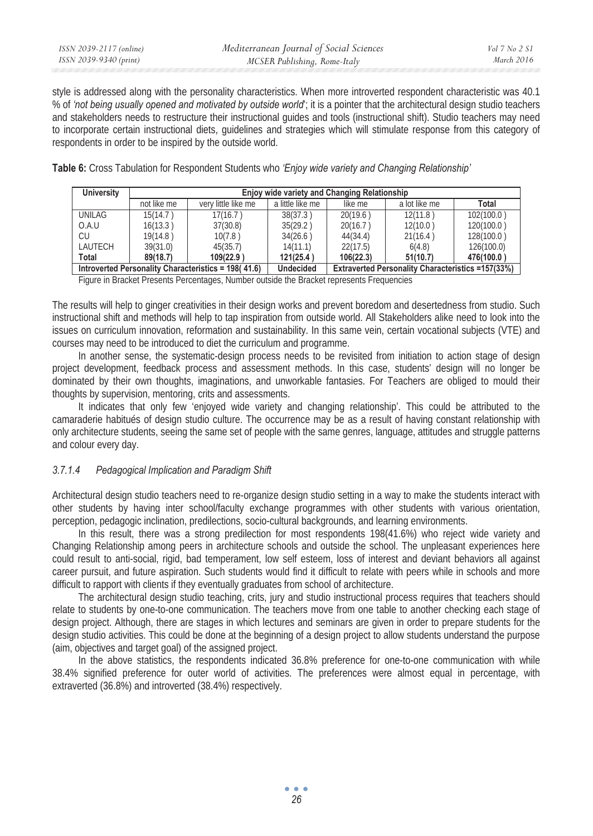style is addressed along with the personality characteristics. When more introverted respondent characteristic was 40.1 % of *'not being usually opened and motivated by outside world*'; it is a pointer that the architectural design studio teachers and stakeholders needs to restructure their instructional guides and tools (instructional shift). Studio teachers may need to incorporate certain instructional diets, guidelines and strategies which will stimulate response from this category of respondents in order to be inspired by the outside world.

**Table 6:** Cross Tabulation for Respondent Students who *'Enjoy wide variety and Changing Relationship'*

| <b>University</b>                                   |             | Enjoy wide variety and Changing Relationship |                  |                                                          |               |            |
|-----------------------------------------------------|-------------|----------------------------------------------|------------------|----------------------------------------------------------|---------------|------------|
|                                                     | not like me | very little like me                          | a little like me | like me                                                  | a lot like me | Total      |
| UNILAG                                              | 15(14.7)    | 17(16.7)                                     | 38(37.3)         | 20(19.6)                                                 | 12(11.8)      | 102(100.0) |
| O.A.U                                               | 16(13.3)    | 37(30.8)                                     | 35(29.2)         | 20(16.7)                                                 | 12(10.0)      | 120(100.0) |
| CU                                                  | 19(14.8)    | 10(7.8)                                      | 34(26.6)         | 44(34.4)                                                 | 21(16.4)      | 128(100.0) |
| LAUTECH                                             | 39(31.0)    | 45(35.7)                                     | 14(11.1)         | 22(17.5)                                                 | 6(4.8)        | 126(100.0) |
| Total                                               | 89(18.7)    | 109(22.9)                                    | 121(25.4)        | 106(22.3)                                                | 51(10.7)      | 476(100.0) |
| Introverted Personality Characteristics = 198(41.6) |             | <b>Undecided</b>                             |                  | <b>Extraverted Personality Characteristics =157(33%)</b> |               |            |

Figure in Bracket Presents Percentages, Number outside the Bracket represents Frequencies

The results will help to ginger creativities in their design works and prevent boredom and desertedness from studio. Such instructional shift and methods will help to tap inspiration from outside world. All Stakeholders alike need to look into the issues on curriculum innovation, reformation and sustainability. In this same vein, certain vocational subjects (VTE) and courses may need to be introduced to diet the curriculum and programme.

In another sense, the systematic-design process needs to be revisited from initiation to action stage of design project development, feedback process and assessment methods. In this case, students' design will no longer be dominated by their own thoughts, imaginations, and unworkable fantasies. For Teachers are obliged to mould their thoughts by supervision, mentoring, crits and assessments.

It indicates that only few 'enjoyed wide variety and changing relationship'. This could be attributed to the camaraderie habitués of design studio culture. The occurrence may be as a result of having constant relationship with only architecture students, seeing the same set of people with the same genres, language, attitudes and struggle patterns and colour every day.

# *3.7.1.4 Pedagogical Implication and Paradigm Shift*

Architectural design studio teachers need to re-organize design studio setting in a way to make the students interact with other students by having inter school/faculty exchange programmes with other students with various orientation, perception, pedagogic inclination, predilections, socio-cultural backgrounds, and learning environments.

In this result, there was a strong predilection for most respondents 198(41.6%) who reject wide variety and Changing Relationship among peers in architecture schools and outside the school. The unpleasant experiences here could result to anti-social, rigid, bad temperament, low self esteem, loss of interest and deviant behaviors all against career pursuit, and future aspiration. Such students would find it difficult to relate with peers while in schools and more difficult to rapport with clients if they eventually graduates from school of architecture.

The architectural design studio teaching, crits, jury and studio instructional process requires that teachers should relate to students by one-to-one communication. The teachers move from one table to another checking each stage of design project. Although, there are stages in which lectures and seminars are given in order to prepare students for the design studio activities. This could be done at the beginning of a design project to allow students understand the purpose (aim, objectives and target goal) of the assigned project.

In the above statistics, the respondents indicated 36.8% preference for one-to-one communication with while 38.4% signified preference for outer world of activities. The preferences were almost equal in percentage, with extraverted (36.8%) and introverted (38.4%) respectively.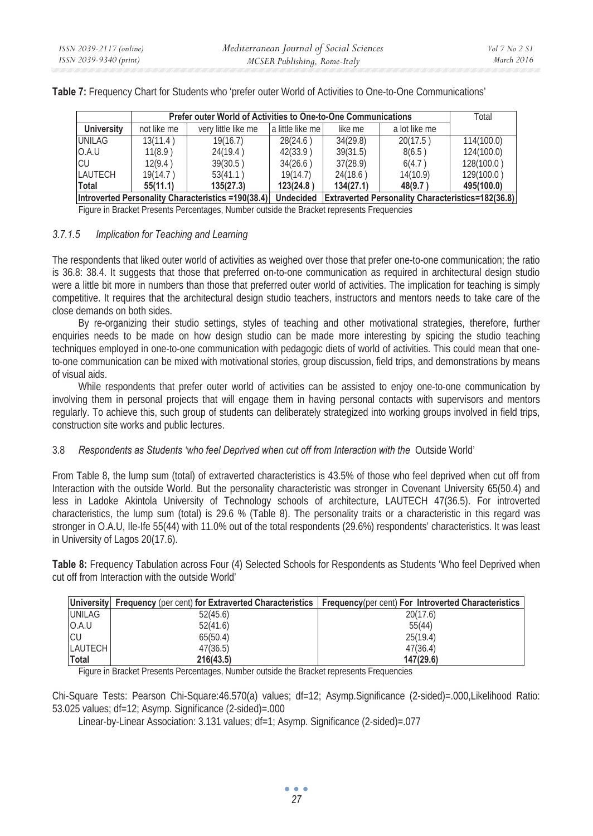|                                                              |             | Prefer outer World of Activities to One-to-One Communications |                  |                                                          |               |            |
|--------------------------------------------------------------|-------------|---------------------------------------------------------------|------------------|----------------------------------------------------------|---------------|------------|
| <b>University</b>                                            | not like me | very little like me                                           | a little like me | like me                                                  | a lot like me |            |
| <b>UNILAG</b>                                                | 13(11.4)    | 19(16.7)                                                      | 28(24.6)         | 34(29.8)                                                 | 20(17.5)      | 114(100.0) |
| O.A.U                                                        | 11(8.9)     | 24(19.4)                                                      | 42(33.9)         | 39(31.5)                                                 | 8(6.5)        | 124(100.0) |
| ICU                                                          | 12(9.4)     | 39(30.5)                                                      | 34(26.6)         | 37(28.9)                                                 | 6(4.7)        | 128(100.0) |
| LAUTECH                                                      | 19(14.7)    | 53(41.1)                                                      | 19(14.7)         | 24(18.6)                                                 | 14(10.9)      | 129(100.0) |
| <b>Total</b>                                                 | 55(11.1)    | 135(27.3)                                                     | 123(24.8)        | 134(27.1)                                                | 48(9.7)       | 495(100.0) |
| Introverted Personality Characteristics =190(38.4) Undecided |             |                                                               |                  | <b>Extraverted Personality Characteristics=182(36.8)</b> |               |            |

**Table 7:** Frequency Chart for Students who 'prefer outer World of Activities to One-to-One Communications'

Figure in Bracket Presents Percentages, Number outside the Bracket represents Frequencies

#### *3.7.1.5 Implication for Teaching and Learning*

The respondents that liked outer world of activities as weighed over those that prefer one-to-one communication; the ratio is 36.8: 38.4. It suggests that those that preferred on-to-one communication as required in architectural design studio were a little bit more in numbers than those that preferred outer world of activities. The implication for teaching is simply competitive. It requires that the architectural design studio teachers, instructors and mentors needs to take care of the close demands on both sides.

By re-organizing their studio settings, styles of teaching and other motivational strategies, therefore, further enquiries needs to be made on how design studio can be made more interesting by spicing the studio teaching techniques employed in one-to-one communication with pedagogic diets of world of activities. This could mean that oneto-one communication can be mixed with motivational stories, group discussion, field trips, and demonstrations by means of visual aids.

While respondents that prefer outer world of activities can be assisted to enjoy one-to-one communication by involving them in personal projects that will engage them in having personal contacts with supervisors and mentors regularly. To achieve this, such group of students can deliberately strategized into working groups involved in field trips, construction site works and public lectures.

#### 3.8 *Respondents as Students 'who feel Deprived when cut off from Interaction with the* Outside World'

From Table 8, the lump sum (total) of extraverted characteristics is 43.5% of those who feel deprived when cut off from Interaction with the outside World. But the personality characteristic was stronger in Covenant University 65(50.4) and less in Ladoke Akintola University of Technology schools of architecture, LAUTECH 47(36.5). For introverted characteristics, the lump sum (total) is 29.6 % (Table 8). The personality traits or a characteristic in this regard was stronger in O.A.U, Ile-Ife 55(44) with 11.0% out of the total respondents (29.6%) respondents' characteristics. It was least in University of Lagos 20(17.6).

**Table 8:** Frequency Tabulation across Four (4) Selected Schools for Respondents as Students 'Who feel Deprived when cut off from Interaction with the outside World'

|                | University Frequency (per cent) for Extraverted Characteristics   Frequency(per cent) For Introverted Characteristics |           |
|----------------|-----------------------------------------------------------------------------------------------------------------------|-----------|
| UNILAG         | 52(45.6)                                                                                                              | 20(17.6)  |
| IO.A.U         | 52(41.6)                                                                                                              | 55(44)    |
| <b>ICU</b>     | 65(50.4)                                                                                                              | 25(19.4)  |
| <b>LAUTECH</b> | 47(36.5)                                                                                                              | 47(36.4)  |
| Total          | 216(43.5)                                                                                                             | 147(29.6) |

Figure in Bracket Presents Percentages, Number outside the Bracket represents Frequencies

Chi-Square Tests: Pearson Chi-Square:46.570(a) values; df=12; Asymp.Significance (2-sided)=.000,Likelihood Ratio: 53.025 values; df=12; Asymp. Significance (2-sided)=.000

Linear-by-Linear Association: 3.131 values; df=1; Asymp. Significance (2-sided)=.077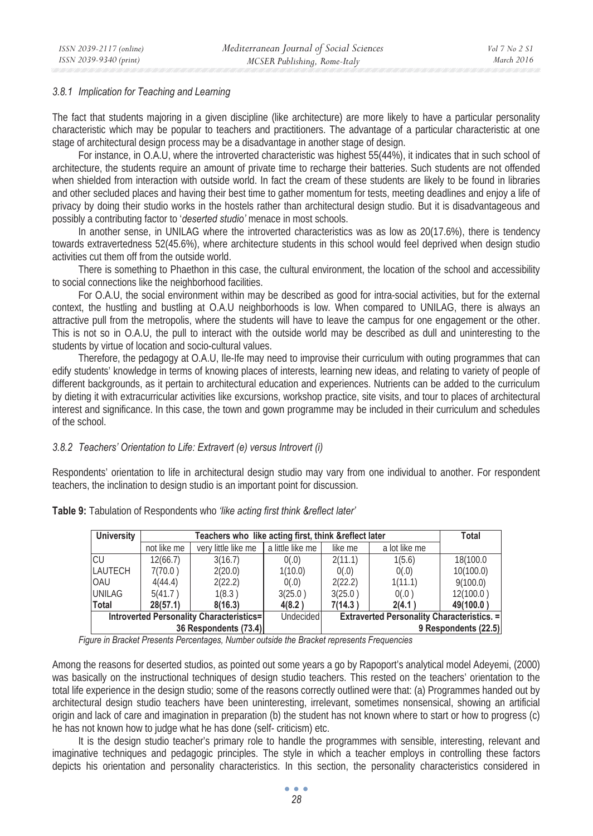#### *3.8.1 Implication for Teaching and Learning*

The fact that students majoring in a given discipline (like architecture) are more likely to have a particular personality characteristic which may be popular to teachers and practitioners. The advantage of a particular characteristic at one stage of architectural design process may be a disadvantage in another stage of design.

For instance, in O.A.U, where the introverted characteristic was highest 55(44%), it indicates that in such school of architecture, the students require an amount of private time to recharge their batteries. Such students are not offended when shielded from interaction with outside world. In fact the cream of these students are likely to be found in libraries and other secluded places and having their best time to gather momentum for tests, meeting deadlines and enjoy a life of privacy by doing their studio works in the hostels rather than architectural design studio. But it is disadvantageous and possibly a contributing factor to '*deserted studio'* menace in most schools.

In another sense, in UNILAG where the introverted characteristics was as low as 20(17.6%), there is tendency towards extravertedness 52(45.6%), where architecture students in this school would feel deprived when design studio activities cut them off from the outside world.

There is something to Phaethon in this case, the cultural environment, the location of the school and accessibility to social connections like the neighborhood facilities.

For O.A.U, the social environment within may be described as good for intra-social activities, but for the external context, the hustling and bustling at O.A.U neighborhoods is low. When compared to UNILAG, there is always an attractive pull from the metropolis, where the students will have to leave the campus for one engagement or the other. This is not so in O.A.U, the pull to interact with the outside world may be described as dull and uninteresting to the students by virtue of location and socio-cultural values.

Therefore, the pedagogy at O.A.U, Ile-Ife may need to improvise their curriculum with outing programmes that can edify students' knowledge in terms of knowing places of interests, learning new ideas, and relating to variety of people of different backgrounds, as it pertain to architectural education and experiences. Nutrients can be added to the curriculum by dieting it with extracurricular activities like excursions, workshop practice, site visits, and tour to places of architectural interest and significance. In this case, the town and gown programme may be included in their curriculum and schedules of the school.

#### *3.8.2 Teachers' Orientation to Life: Extravert (e) versus Introvert (i)*

Respondents' orientation to life in architectural design studio may vary from one individual to another. For respondent teachers, the inclination to design studio is an important point for discussion.

| University                               |             | Total               |                  |                                                   |               |                      |  |
|------------------------------------------|-------------|---------------------|------------------|---------------------------------------------------|---------------|----------------------|--|
|                                          | not like me | very little like me | a little like me | like me                                           | a lot like me |                      |  |
| <b>CU</b>                                | 12(66.7)    | 3(16.7)             | 0(.0)            | 2(11.1)                                           | 1(5.6)        | 18(100.0             |  |
| LAUTECH                                  | 7(70.0)     | 2(20.0)             | 1(10.0)          | 0(.0)                                             | 0(.0)         | 10(100.0)            |  |
| <b>OAU</b>                               | 4(44.4)     | 2(22.2)             | 0(.0)            | 2(22.2)                                           | 1(11.1)       | 9(100.0)             |  |
| <b>UNILAG</b>                            | 5(41.7)     | 1(8.3)              | 3(25.0)          | 3(25.0)                                           | 0(.0)         | 12(100.0)            |  |
| Total                                    | 28(57.1)    | 8(16.3)             | 4(8.2)           | 7(14.3)                                           | 2(4.1)        | 49(100.0)            |  |
| Introverted Personality Characteristics= |             |                     | Undecided        | <b>Extraverted Personality Characteristics. =</b> |               |                      |  |
| 36 Respondents (73.4)                    |             |                     |                  |                                                   |               | 9 Respondents (22.5) |  |

**Table 9:** Tabulation of Respondents who *'like acting first think &reflect later'* 

*Figure in Bracket Presents Percentages, Number outside the Bracket represents Frequencies* 

Among the reasons for deserted studios, as pointed out some years a go by Rapoport's analytical model Adeyemi, (2000) was basically on the instructional techniques of design studio teachers. This rested on the teachers' orientation to the total life experience in the design studio; some of the reasons correctly outlined were that: (a) Programmes handed out by architectural design studio teachers have been uninteresting, irrelevant, sometimes nonsensical, showing an artificial origin and lack of care and imagination in preparation (b) the student has not known where to start or how to progress (c) he has not known how to judge what he has done (self- criticism) etc.

It is the design studio teacher's primary role to handle the programmes with sensible, interesting, relevant and imaginative techniques and pedagogic principles. The style in which a teacher employs in controlling these factors depicts his orientation and personality characteristics. In this section, the personality characteristics considered in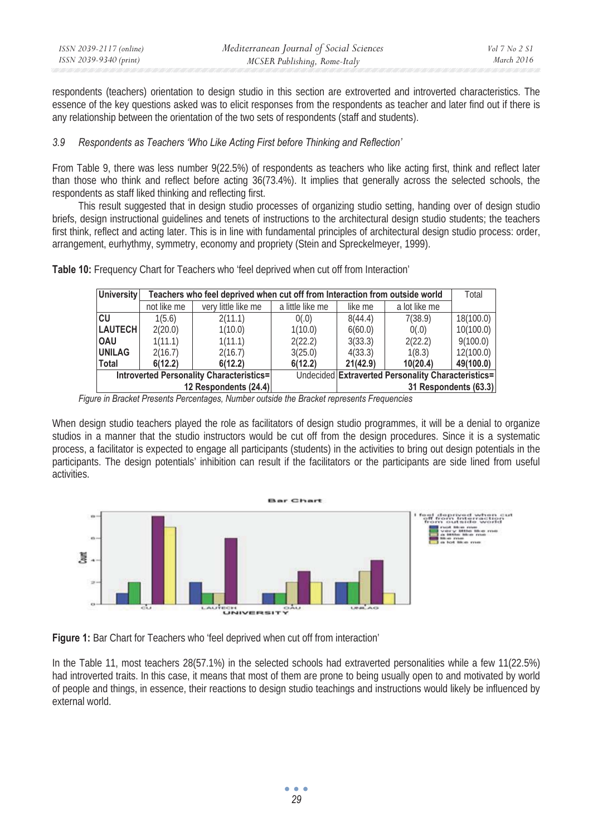| ISSN 2039-2117 (online) | Mediterranean Journal of Social Sciences | Vol 7 No 2 SI |
|-------------------------|------------------------------------------|---------------|
| ISSN 2039-9340 (print)  | MCSER Publishing, Rome-Italy             | March 2016    |

respondents (teachers) orientation to design studio in this section are extroverted and introverted characteristics. The essence of the key questions asked was to elicit responses from the respondents as teacher and later find out if there is any relationship between the orientation of the two sets of respondents (staff and students).

### *3.9 Respondents as Teachers 'Who Like Acting First before Thinking and Reflection'*

From Table 9, there was less number 9(22.5%) of respondents as teachers who like acting first, think and reflect later than those who think and reflect before acting 36(73.4%). It implies that generally across the selected schools, the respondents as staff liked thinking and reflecting first.

This result suggested that in design studio processes of organizing studio setting, handing over of design studio briefs, design instructional guidelines and tenets of instructions to the architectural design studio students; the teachers first think, reflect and acting later. This is in line with fundamental principles of architectural design studio process: order, arrangement, eurhythmy, symmetry, economy and propriety (Stein and Spreckelmeyer, 1999).

| University     | Teachers who feel deprived when cut off from Interaction from outside world |                       |                  |          |                                                    |           |  |  |  |  |
|----------------|-----------------------------------------------------------------------------|-----------------------|------------------|----------|----------------------------------------------------|-----------|--|--|--|--|
|                | not like me                                                                 | very little like me   | a little like me | like me  | a lot like me                                      |           |  |  |  |  |
| CU             | 1(5.6)                                                                      | 2(11.1)               | 0(.0)            | 8(44.4)  | 7(38.9)                                            | 18(100.0) |  |  |  |  |
| <b>LAUTECH</b> | 2(20.0)                                                                     | 1(10.0)               | 1(10.0)          | 6(60.0)  | 0(.0)                                              | 10(100.0) |  |  |  |  |
| <b>OAU</b>     | 1(11.1)                                                                     | 1(11.1)               | 2(22.2)          | 3(33.3)  | 2(22.2)                                            | 9(100.0)  |  |  |  |  |
| <b>UNILAG</b>  | 2(16.7)                                                                     | 2(16.7)               | 3(25.0)          | 4(33.3)  | 1(8.3)                                             | 12(100.0) |  |  |  |  |
| Total          | 6(12.2)                                                                     | 6(12.2)               | 6(12.2)          | 21(42.9) | 10(20.4)                                           | 49(100.0) |  |  |  |  |
|                | Introverted Personality Characteristics=                                    |                       |                  |          | Undecided Extraverted Personality Characteristics= |           |  |  |  |  |
|                |                                                                             | 12 Respondents (24.4) |                  |          | 31 Respondents (63.3)                              |           |  |  |  |  |

**Table 10:** Frequency Chart for Teachers who 'feel deprived when cut off from Interaction'

When design studio teachers played the role as facilitators of design studio programmes, it will be a denial to organize studios in a manner that the studio instructors would be cut off from the design procedures. Since it is a systematic process, a facilitator is expected to engage all participants (students) in the activities to bring out design potentials in the participants. The design potentials' inhibition can result if the facilitators or the participants are side lined from useful activities.



**Figure 1:** Bar Chart for Teachers who 'feel deprived when cut off from interaction'

In the Table 11, most teachers 28(57.1%) in the selected schools had extraverted personalities while a few 11(22.5%) had introverted traits. In this case, it means that most of them are prone to being usually open to and motivated by world of people and things, in essence, their reactions to design studio teachings and instructions would likely be influenced by external world.

*Figure in Bracket Presents Percentages, Number outside the Bracket represents Frequencies*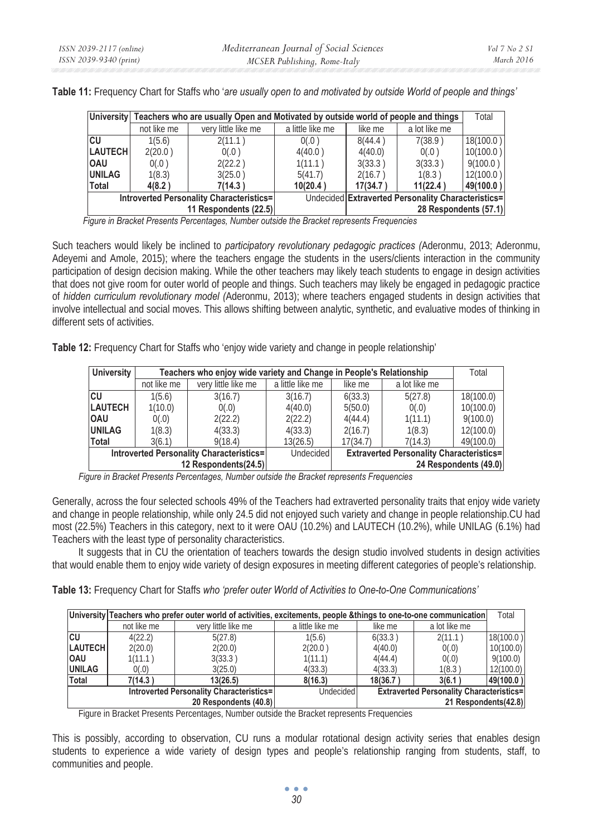|                                          | University Teachers who are usually Open and Motivated by outside world of people and things |                       |                  |          |                                                    |           |  |  |  |
|------------------------------------------|----------------------------------------------------------------------------------------------|-----------------------|------------------|----------|----------------------------------------------------|-----------|--|--|--|
|                                          | not like me                                                                                  | very little like me   | a little like me | like me  | a lot like me                                      |           |  |  |  |
| lcu                                      | 1(5.6)                                                                                       | 2(11.1)               | 0(.0)            | 8(44.4)  | 7(38.9)                                            | 18(100.0) |  |  |  |
| <b>LAUTECH</b>                           | 2(20.0)                                                                                      | 0(.0)                 | 4(40.0)          | 4(40.0)  | 0(.0)                                              | 10(100.0) |  |  |  |
| <b>IOAU</b>                              | 0(.0)                                                                                        | 2(22.2)               | 1(11.1)          | 3(33.3)  | 3(33.3)                                            | 9(100.0)  |  |  |  |
| <b>UNILAG</b>                            | 1(8.3)                                                                                       | 3(25.0)               | 5(41.7)          | 2(16.7)  | 1(8.3)                                             | 12(100.0) |  |  |  |
| Total                                    | 4(8.2)                                                                                       | 7(14.3)               | 10(20.4)         | 17(34.7) | 11(22.4)                                           | 49(100.0) |  |  |  |
| Introverted Personality Characteristics= |                                                                                              |                       |                  |          | Undecided Extraverted Personality Characteristics= |           |  |  |  |
|                                          |                                                                                              | 11 Respondents (22.5) |                  |          | 28 Respondents (57.1)                              |           |  |  |  |

**Table 11:** Frequency Chart for Staffs who '*are usually open to and motivated by outside World of people and things'* 

 *Figure in Bracket Presents Percentages, Number outside the Bracket represents Frequencies* 

Such teachers would likely be inclined to *participatory revolutionary pedagogic practices (*Aderonmu, 2013; Aderonmu, Adeyemi and Amole, 2015); where the teachers engage the students in the users/clients interaction in the community participation of design decision making. While the other teachers may likely teach students to engage in design activities that does not give room for outer world of people and things. Such teachers may likely be engaged in pedagogic practice of *hidden curriculum revolutionary model (*Aderonmu, 2013); where teachers engaged students in design activities that involve intellectual and social moves. This allows shifting between analytic, synthetic, and evaluative modes of thinking in different sets of activities.

**Table 12:** Frequency Chart for Staffs who 'enjoy wide variety and change in people relationship'

| <b>University</b>    |                                          | Teachers who enjoy wide variety and Change in People's Relationship |                  |                                                 |               |                       |  |  |  |
|----------------------|------------------------------------------|---------------------------------------------------------------------|------------------|-------------------------------------------------|---------------|-----------------------|--|--|--|
|                      | not like me                              | very little like me                                                 | a little like me | like me                                         | a lot like me |                       |  |  |  |
| <b>CU</b>            | 1(5.6)                                   | 3(16.7)                                                             | 3(16.7)          | 6(33.3)                                         | 5(27.8)       | 18(100.0)             |  |  |  |
| <b>LAUTECH</b>       | 1(10.0)                                  | 0(.0)                                                               | 4(40.0)          | 5(50.0)                                         | 0(.0)         | 10(100.0)             |  |  |  |
| <b>OAU</b>           | 0(.0)                                    | 2(22.2)                                                             | 2(22.2)          | 4(44.4)                                         | 1(11.1)       | 9(100.0)              |  |  |  |
| <b>UNILAG</b>        | 1(8.3)                                   | 4(33.3)                                                             | 4(33.3)          | 2(16.7)                                         | 1(8.3)        | 12(100.0)             |  |  |  |
| <b>Total</b>         | 3(6.1)                                   | 9(18.4)                                                             | 13(26.5)         | 17(34.7)                                        | 7(14.3)       | 49(100.0)             |  |  |  |
|                      | Introverted Personality Characteristics= |                                                                     | Undecided        | <b>Extraverted Personality Characteristics=</b> |               |                       |  |  |  |
| 12 Respondents(24.5) |                                          |                                                                     |                  |                                                 |               | 24 Respondents (49.0) |  |  |  |

*Figure in Bracket Presents Percentages, Number outside the Bracket represents Frequencies* 

Generally, across the four selected schools 49% of the Teachers had extraverted personality traits that enjoy wide variety and change in people relationship, while only 24.5 did not enjoyed such variety and change in people relationship.CU had most (22.5%) Teachers in this category, next to it were OAU (10.2%) and LAUTECH (10.2%), while UNILAG (6.1%) had Teachers with the least type of personality characteristics.

It suggests that in CU the orientation of teachers towards the design studio involved students in design activities that would enable them to enjoy wide variety of design exposures in meeting different categories of people's relationship.

**Table 13:** Frequency Chart for Staffs *who 'prefer outer World of Activities to One-to-One Communications'*

|                                          |             | University Teachers who prefer outer world of activities, excitements, people &things to one-to-one communication |                  |                                                 |                      | Total     |
|------------------------------------------|-------------|-------------------------------------------------------------------------------------------------------------------|------------------|-------------------------------------------------|----------------------|-----------|
|                                          | not like me | very little like me                                                                                               | a little like me | like me                                         | a lot like me        |           |
| lcu                                      | 4(22.2)     | 5(27.8)                                                                                                           | 1(5.6)           | 6(33.3)                                         | 2(11.1)              | 18(100.0) |
| <b>LAUTECH</b>                           | 2(20.0)     | 2(20.0)                                                                                                           | 2(20.0)          | 4(40.0)                                         | 0(.0)                | 10(100.0) |
| <b>OAU</b>                               | 1(11.1)     | 3(33.3)                                                                                                           | 1(11.1)          | 4(44.4)                                         | 0(.0)                | 9(100.0)  |
| <b>UNILAG</b>                            | 0(.0)       | 3(25.0)                                                                                                           | 4(33.3)          | 4(33.3)                                         | 1(8.3)               | 12(100.0) |
| Total                                    | 7(14.3)     | 13(26.5)                                                                                                          | 8(16.3)          | 18(36.7                                         | 3(6.1)               | 49(100.0) |
| Introverted Personality Characteristics= |             |                                                                                                                   | Undecided        | <b>Extraverted Personality Characteristics=</b> |                      |           |
|                                          |             | 20 Respondents (40.8)                                                                                             |                  |                                                 | 21 Respondents(42.8) |           |

Figure in Bracket Presents Percentages, Number outside the Bracket represents Frequencies

This is possibly, according to observation, CU runs a modular rotational design activity series that enables design students to experience a wide variety of design types and people's relationship ranging from students, staff, to communities and people.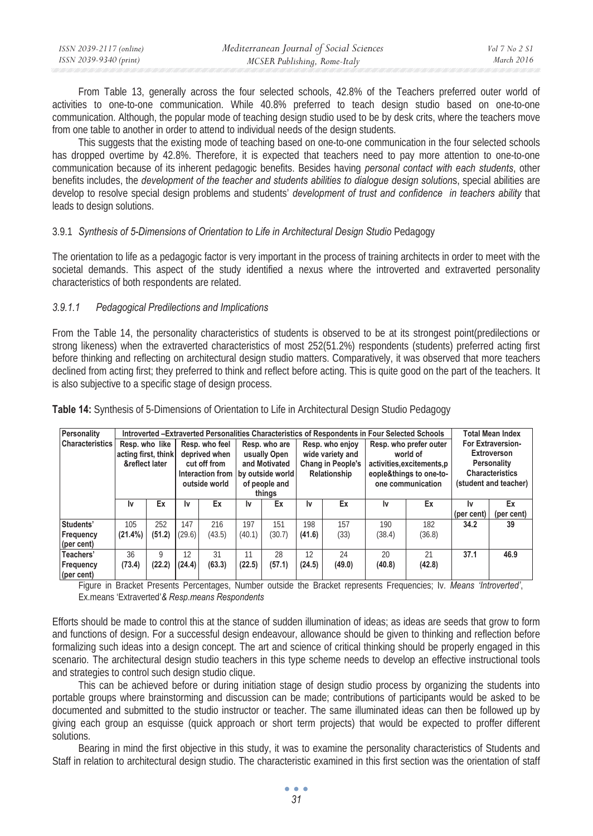From Table 13, generally across the four selected schools, 42.8% of the Teachers preferred outer world of activities to one-to-one communication. While 40.8% preferred to teach design studio based on one-to-one communication. Although, the popular mode of teaching design studio used to be by desk crits, where the teachers move from one table to another in order to attend to individual needs of the design students.

This suggests that the existing mode of teaching based on one-to-one communication in the four selected schools has dropped overtime by 42.8%. Therefore, it is expected that teachers need to pay more attention to one-to-one communication because of its inherent pedagogic benefits. Besides having *personal contact with each students*, other benefits includes, the *development of the teacher and students abilities to dialogue design solution*s, special abilities are develop to resolve special design problems and students' *development of trust and confidence in teachers ability* that leads to design solutions.

# 3.9.1 *Synthesis of 5-Dimensions of Orientation to Life in Architectural Design Studio* Pedagogy

The orientation to life as a pedagogic factor is very important in the process of training architects in order to meet with the societal demands. This aspect of the study identified a nexus where the introverted and extraverted personality characteristics of both respondents are related.

# *3.9.1.1 Pedagogical Predilections and Implications*

From the Table 14, the personality characteristics of students is observed to be at its strongest point(predilections or strong likeness) when the extraverted characteristics of most 252(51.2%) respondents (students) preferred acting first before thinking and reflecting on architectural design studio matters. Comparatively, it was observed that more teachers declined from acting first; they preferred to think and reflect before acting. This is quite good on the part of the teachers. It is also subjective to a specific stage of design process.

| Personality            |                     |        |        |                |               |                                   |                 | Introverted -Extraverted Personalities Characteristics of Respondents in Four Selected Schools |                        | <b>Total Mean Index</b>    |                        |             |
|------------------------|---------------------|--------|--------|----------------|---------------|-----------------------------------|-----------------|------------------------------------------------------------------------------------------------|------------------------|----------------------------|------------------------|-------------|
| <b>Characteristics</b> | Resp. who like      |        |        | Resp. who feel | Resp. who are |                                   | Resp. who enjoy |                                                                                                | Resp. who prefer outer |                            | For Extraversion-      |             |
|                        | acting first, think |        |        | deprived when  |               | usually Open                      |                 | wide variety and                                                                               |                        | world of                   |                        | Extroverson |
|                        | &reflect later      |        |        | cut off from   |               | and Motivated                     |                 | Chang in People's                                                                              |                        | activities, excitements, p | Personality            |             |
|                        | outside world       |        |        |                |               | Interaction from by outside world |                 | Relationship                                                                                   |                        | eople&things to one-to-    | <b>Characteristics</b> |             |
|                        |                     |        |        |                | of people and |                                   |                 |                                                                                                | one communication      | (student and teacher)      |                        |             |
|                        |                     |        |        |                | things        |                                   |                 |                                                                                                |                        |                            |                        |             |
|                        | Ιv                  | Ex     | I٧     | Ex             | Ιv            | Ex                                | I٧              | Ex                                                                                             | l٧                     | Ex                         | Ιv                     | Ex          |
|                        |                     |        |        |                |               |                                   |                 |                                                                                                |                        |                            | (per cent)             | (per cent)  |
| Students'              | 105                 | 252    | 147    | 216            | 197           | 151                               | 198             | 157                                                                                            | 190                    | 182                        | 34.2                   | 39          |
| Frequency              | $(21.4\%)$          | (51.2) | (29.6) | (43.5)         | (40.1)        | (30.7)                            | (41.6)          | (33)                                                                                           | (38.4)                 | (36.8)                     |                        |             |
| (per cent)             |                     |        |        |                |               |                                   |                 |                                                                                                |                        |                            |                        |             |
| Teachers'              | 36                  | 9      | 12     | 31             | 11            | 28                                | 12              | 24                                                                                             | 20                     | 21                         | 37.1                   | 46.9        |
| Frequency              | (73.4)              | (22.2) | (24.4) | (63.3)         | (22.5)        | (57.1)                            | (24.5)          | (49.0)                                                                                         | (40.8)                 | (42.8)                     |                        |             |
| (per cent)             |                     |        |        |                |               |                                   |                 |                                                                                                |                        |                            |                        |             |

**Table 14:** Synthesis of 5-Dimensions of Orientation to Life in Architectural Design Studio Pedagogy

Figure in Bracket Presents Percentages, Number outside the Bracket represents Frequencies; Iv*. Means 'Introverted'*, Ex.means 'Extraverted'*& Resp.means Respondents* 

Efforts should be made to control this at the stance of sudden illumination of ideas; as ideas are seeds that grow to form and functions of design. For a successful design endeavour, allowance should be given to thinking and reflection before formalizing such ideas into a design concept. The art and science of critical thinking should be properly engaged in this scenario. The architectural design studio teachers in this type scheme needs to develop an effective instructional tools and strategies to control such design studio clique.

This can be achieved before or during initiation stage of design studio process by organizing the students into portable groups where brainstorming and discussion can be made; contributions of participants would be asked to be documented and submitted to the studio instructor or teacher. The same illuminated ideas can then be followed up by giving each group an esquisse (quick approach or short term projects) that would be expected to proffer different solutions.

Bearing in mind the first objective in this study, it was to examine the personality characteristics of Students and Staff in relation to architectural design studio. The characteristic examined in this first section was the orientation of staff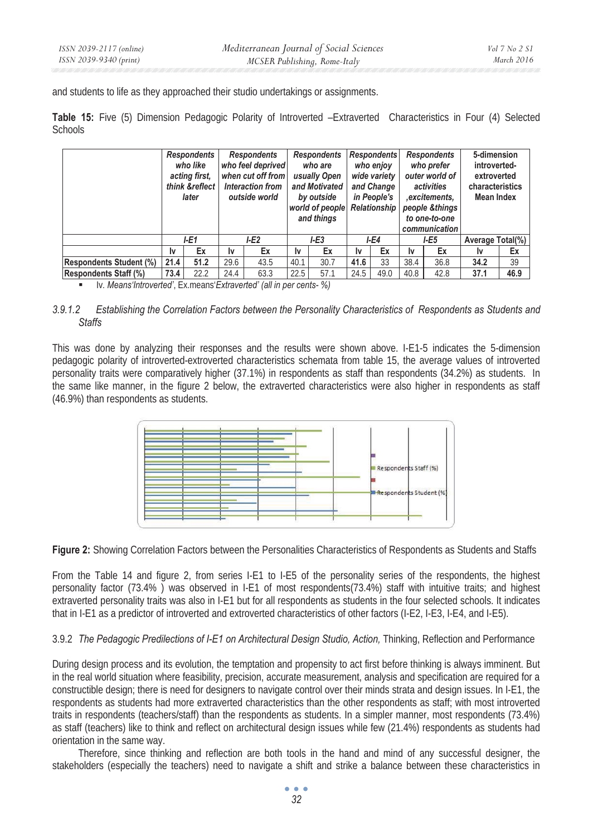and students to life as they approached their studio undertakings or assignments.

**Table 15:** Five (5) Dimension Pedagogic Polarity of Introverted –Extraverted Characteristics in Four (4) Selected **Schools** 

|                                |      | Respondents<br>who like<br>acting first,<br>think &reflect<br>later | Respondents<br>who feel deprived<br>when cut off from<br>Interaction from<br>outside world |      |        | <b>Respondents</b><br>who are<br>usually Open<br>and Motivated<br>by outside<br>world of people<br>and things |        | <b>Respondents</b><br>who enjoy<br>wide variety<br>and Change<br>in People's<br><b>Relationship</b> |             | <b>Respondents</b><br>who prefer<br>outer world of<br>activities<br>, excitements,<br>people &things<br>to one-to-one<br>communication | 5-dimension<br>introverted-<br>extroverted<br>characteristics<br>Mean Index |      |
|--------------------------------|------|---------------------------------------------------------------------|--------------------------------------------------------------------------------------------|------|--------|---------------------------------------------------------------------------------------------------------------|--------|-----------------------------------------------------------------------------------------------------|-------------|----------------------------------------------------------------------------------------------------------------------------------------|-----------------------------------------------------------------------------|------|
|                                | I-E1 |                                                                     | LE2                                                                                        |      | $I-E3$ |                                                                                                               | $I-E4$ |                                                                                                     | <b>I-E5</b> |                                                                                                                                        | Average Total(%)                                                            |      |
|                                | I٧   | Ex                                                                  | I٧                                                                                         | Ex   | I٧     | Ex                                                                                                            | I٧     | Ex                                                                                                  | Ιv          | Ex                                                                                                                                     | 1v                                                                          | Ex   |
| <b>Respondents Student (%)</b> | 21.4 | 51.2                                                                | 29.6                                                                                       | 43.5 | 40.1   | 30.7                                                                                                          | 41.6   | 33                                                                                                  | 38.4        | 36.8                                                                                                                                   | 34.2                                                                        | 39   |
| <b>Respondents Staff (%)</b>   | 73.4 | 22.2                                                                | 24.4                                                                                       | 63.3 | 22.5   | 57.1                                                                                                          | 24.5   | 49.0                                                                                                | 40.8        | 42.8                                                                                                                                   | 37.1                                                                        | 46.9 |

Iv*. Means'Introverted'*, Ex.means'*Extraverted' (all in per cents- %)* 

# *3.9.1.2 Establishing the Correlation Factors between the Personality Characteristics of Respondents as Students and Staffs*

This was done by analyzing their responses and the results were shown above. I-E1-5 indicates the 5-dimension pedagogic polarity of introverted-extroverted characteristics schemata from table 15, the average values of introverted personality traits were comparatively higher (37.1%) in respondents as staff than respondents (34.2%) as students. In the same like manner, in the figure 2 below, the extraverted characteristics were also higher in respondents as staff (46.9%) than respondents as students.



**Figure 2:** Showing Correlation Factors between the Personalities Characteristics of Respondents as Students and Staffs

From the Table 14 and figure 2, from series I-E1 to I-E5 of the personality series of the respondents, the highest personality factor (73.4% ) was observed in I-E1 of most respondents(73.4%) staff with intuitive traits; and highest extraverted personality traits was also in I-E1 but for all respondents as students in the four selected schools. It indicates that in I-E1 as a predictor of introverted and extroverted characteristics of other factors (I-E2, I-E3, I-E4, and I-E5).

3.9.2 *The Pedagogic Predilections of I-E1 on Architectural Design Studio, Action,* Thinking, Reflection and Performance

During design process and its evolution, the temptation and propensity to act first before thinking is always imminent. But in the real world situation where feasibility, precision, accurate measurement, analysis and specification are required for a constructible design; there is need for designers to navigate control over their minds strata and design issues. In I-E1, the respondents as students had more extraverted characteristics than the other respondents as staff; with most introverted traits in respondents (teachers/staff) than the respondents as students. In a simpler manner, most respondents (73.4%) as staff (teachers) like to think and reflect on architectural design issues while few (21.4%) respondents as students had orientation in the same way.

Therefore, since thinking and reflection are both tools in the hand and mind of any successful designer, the stakeholders (especially the teachers) need to navigate a shift and strike a balance between these characteristics in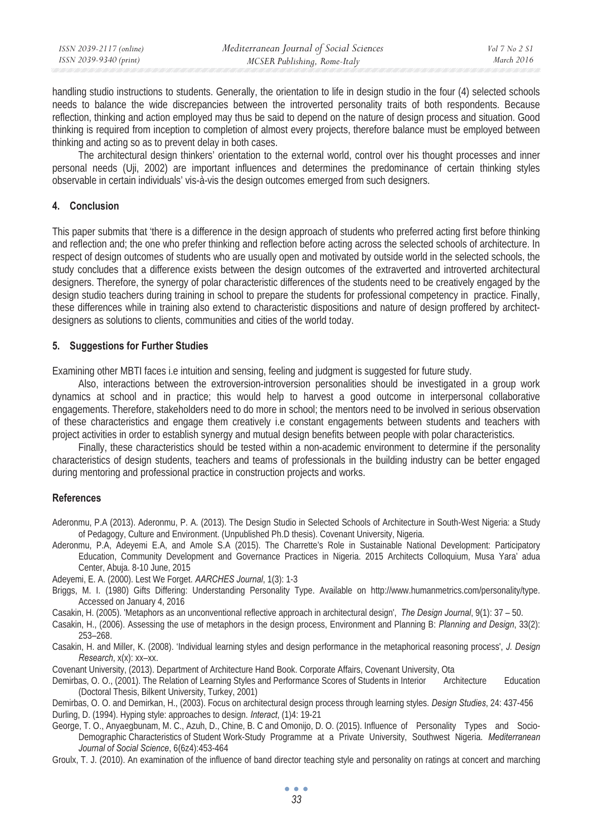| ISSN 2039-2117 (online) | Mediterranean Journal of Social Sciences | Vol 7 No 2 S1 |
|-------------------------|------------------------------------------|---------------|
| ISSN 2039-9340 (print)  | MCSER Publishing, Rome-Italy             | March 2016    |

handling studio instructions to students. Generally, the orientation to life in design studio in the four (4) selected schools needs to balance the wide discrepancies between the introverted personality traits of both respondents. Because reflection, thinking and action employed may thus be said to depend on the nature of design process and situation. Good thinking is required from inception to completion of almost every projects, therefore balance must be employed between thinking and acting so as to prevent delay in both cases.

The architectural design thinkers' orientation to the external world, control over his thought processes and inner personal needs (Uji, 2002) are important influences and determines the predominance of certain thinking styles observable in certain individuals' vis-à-vis the design outcomes emerged from such designers.

#### **4. Conclusion**

This paper submits that 'there is a difference in the design approach of students who preferred acting first before thinking and reflection and; the one who prefer thinking and reflection before acting across the selected schools of architecture. In respect of design outcomes of students who are usually open and motivated by outside world in the selected schools, the study concludes that a difference exists between the design outcomes of the extraverted and introverted architectural designers. Therefore, the synergy of polar characteristic differences of the students need to be creatively engaged by the design studio teachers during training in school to prepare the students for professional competency in practice. Finally, these differences while in training also extend to characteristic dispositions and nature of design proffered by architectdesigners as solutions to clients, communities and cities of the world today.

#### **5. Suggestions for Further Studies**

Examining other MBTI faces i.e intuition and sensing, feeling and judgment is suggested for future study.

Also, interactions between the extroversion-introversion personalities should be investigated in a group work dynamics at school and in practice; this would help to harvest a good outcome in interpersonal collaborative engagements. Therefore, stakeholders need to do more in school; the mentors need to be involved in serious observation of these characteristics and engage them creatively i.e constant engagements between students and teachers with project activities in order to establish synergy and mutual design benefits between people with polar characteristics.

Finally, these characteristics should be tested within a non-academic environment to determine if the personality characteristics of design students, teachers and teams of professionals in the building industry can be better engaged during mentoring and professional practice in construction projects and works.

#### **References**

Aderonmu, P.A (2013). Aderonmu, P. A. (2013). The Design Studio in Selected Schools of Architecture in South-West Nigeria: a Study of Pedagogy, Culture and Environment. (Unpublished Ph.D thesis). Covenant University, Nigeria.

Aderonmu, P.A, Adeyemi E.A, and Amole S.A (2015). The Charrette's Role in Sustainable National Development: Participatory Education, Community Development and Governance Practices in Nigeria. 2015 Architects Colloquium, Musa Yara' adua Center, Abuja. 8-10 June, 2015

Adeyemi, E. A. (2000). Lest We Forget. *AARCHES Journal*, 1(3): 1-3

Briggs, M. I. (1980) Gifts Differing: Understanding Personality Type. Available on http://www.humanmetrics.com/personality/type. Accessed on January 4, 2016

Casakin, H. (2005). 'Metaphors as an unconventional reflective approach in architectural design', *The Design Journal*, 9(1): 37 – 50.

Casakin, H., (2006). Assessing the use of metaphors in the design process, Environment and Planning B: *Planning and Design*, 33(2): 253–268.

Casakin, H. and Miller, K. (2008). 'Individual learning styles and design performance in the metaphorical reasoning process', *J. Design Research*, x(x): xx–xx.

Covenant University, (2013). Department of Architecture Hand Book. Corporate Affairs, Covenant University, Ota

Demirbas, O. O., (2001). The Relation of Learning Styles and Performance Scores of Students in Interior Architecture Education (Doctoral Thesis, Bilkent University, Turkey, 2001)

Demirbas, O. O. and Demirkan, H., (2003). Focus on architectural design process through learning styles. *Design Studies*, 24: 437-456 Durling, D. (1994). Hyping style: approaches to design. *Interact*, (1)4: 19-21

George, T. O., Anyaegbunam, M. C., Azuh, D., Chine, B. C and Omonijo, D. O. (2015). Influence of Personality Types and Socio-Demographic Characteristics of Student Work-Study Programme at a Private University, Southwest Nigeria. *Mediterranean Journal of Social Science*, 6(6z4):453-464

Groulx, T. J. (2010). An examination of the influence of band director teaching style and personality on ratings at concert and marching